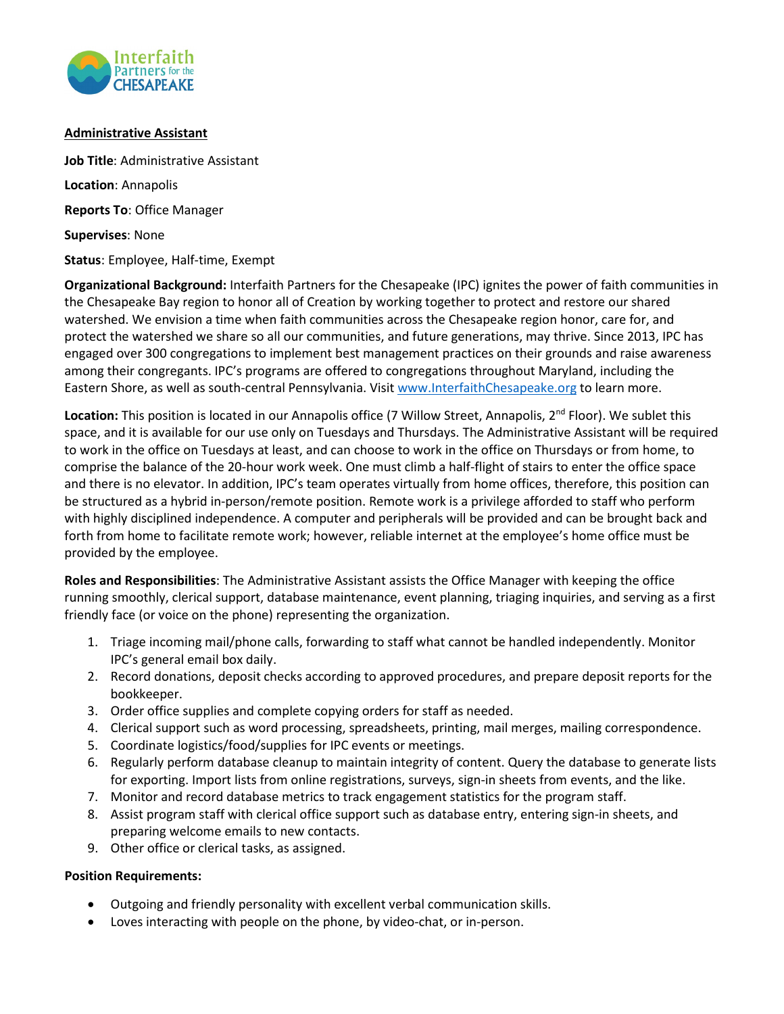

## **Administrative Assistant**

**Job Title**: Administrative Assistant **Location**: Annapolis **Reports To**: Office Manager **Supervises**: None **Status**: Employee, Half-time, Exempt

**Organizational Background:** Interfaith Partners for the Chesapeake (IPC) ignites the power of faith communities in the Chesapeake Bay region to honor all of Creation by working together to protect and restore our shared watershed. We envision a time when faith communities across the Chesapeake region honor, care for, and protect the watershed we share so all our communities, and future generations, may thrive. Since 2013, IPC has engaged over 300 congregations to implement best management practices on their grounds and raise awareness among their congregants. IPC's programs are offered to congregations throughout Maryland, including the Eastern Shore, as well as south-central Pennsylvania. Visit www.InterfaithChesapeake.org to learn more.

Location: This position is located in our Annapolis office (7 Willow Street, Annapolis, 2<sup>nd</sup> Floor). We sublet this space, and it is available for our use only on Tuesdays and Thursdays. The Administrative Assistant will be required to work in the office on Tuesdays at least, and can choose to work in the office on Thursdays or from home, to comprise the balance of the 20-hour work week. One must climb a half-flight of stairs to enter the office space and there is no elevator. In addition, IPC's team operates virtually from home offices, therefore, this position can be structured as a hybrid in-person/remote position. Remote work is a privilege afforded to staff who perform with highly disciplined independence. A computer and peripherals will be provided and can be brought back and forth from home to facilitate remote work; however, reliable internet at the employee's home office must be provided by the employee.

**Roles and Responsibilities**: The Administrative Assistant assists the Office Manager with keeping the office running smoothly, clerical support, database maintenance, event planning, triaging inquiries, and serving as a first friendly face (or voice on the phone) representing the organization.

- 1. Triage incoming mail/phone calls, forwarding to staff what cannot be handled independently. Monitor IPC's general email box daily.
- 2. Record donations, deposit checks according to approved procedures, and prepare deposit reports for the bookkeeper.
- 3. Order office supplies and complete copying orders for staff as needed.
- 4. Clerical support such as word processing, spreadsheets, printing, mail merges, mailing correspondence.
- 5. Coordinate logistics/food/supplies for IPC events or meetings.
- 6. Regularly perform database cleanup to maintain integrity of content. Query the database to generate lists for exporting. Import lists from online registrations, surveys, sign-in sheets from events, and the like.
- 7. Monitor and record database metrics to track engagement statistics for the program staff.
- 8. Assist program staff with clerical office support such as database entry, entering sign-in sheets, and preparing welcome emails to new contacts.
- 9. Other office or clerical tasks, as assigned.

## **Position Requirements:**

- Outgoing and friendly personality with excellent verbal communication skills.
- Loves interacting with people on the phone, by video-chat, or in-person.